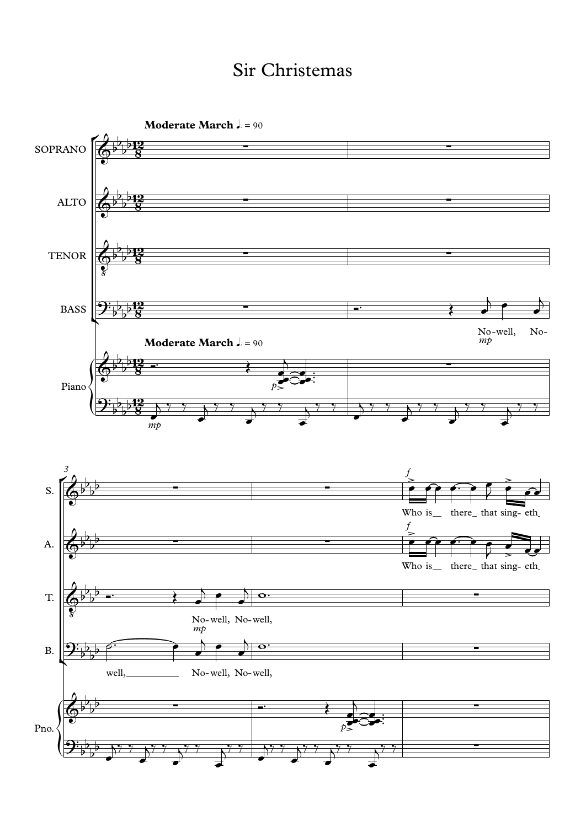## Sir Christemas

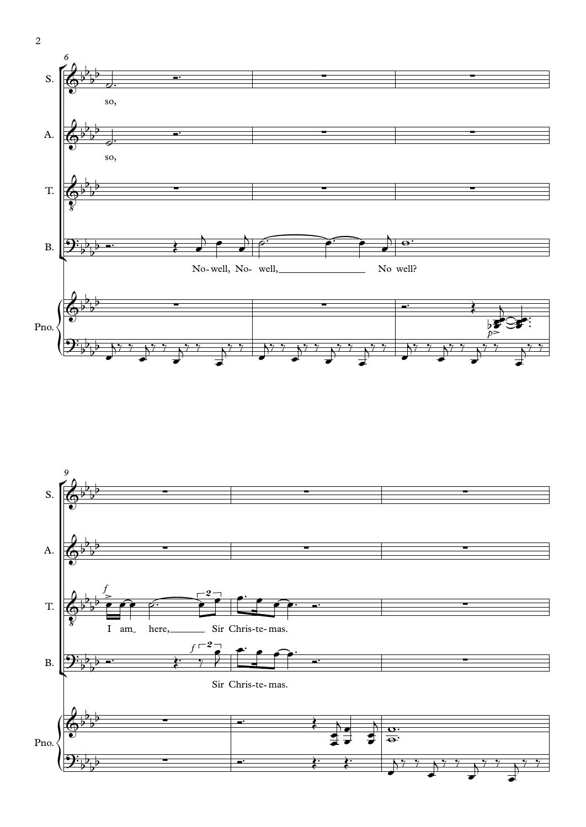



2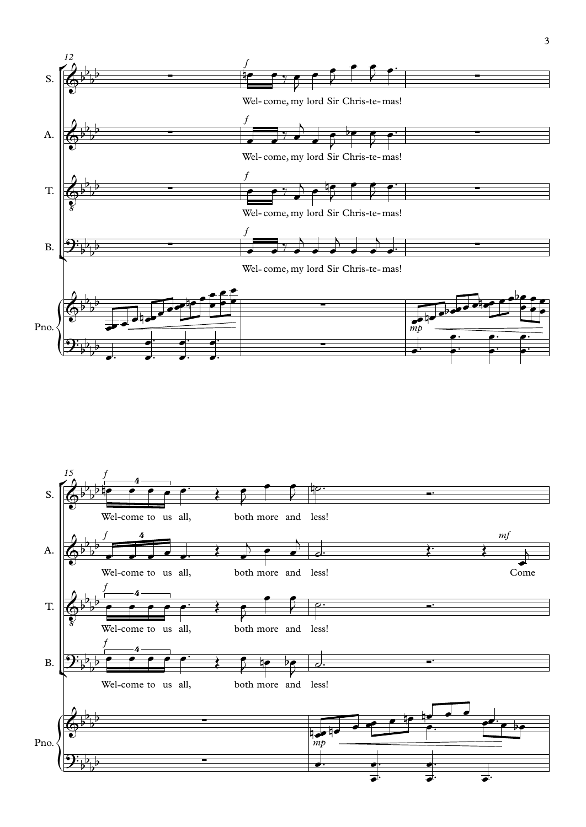

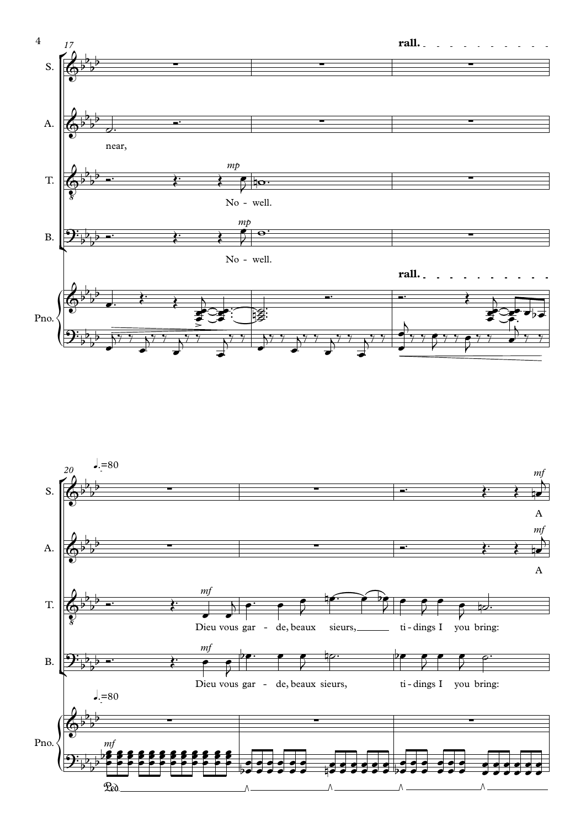

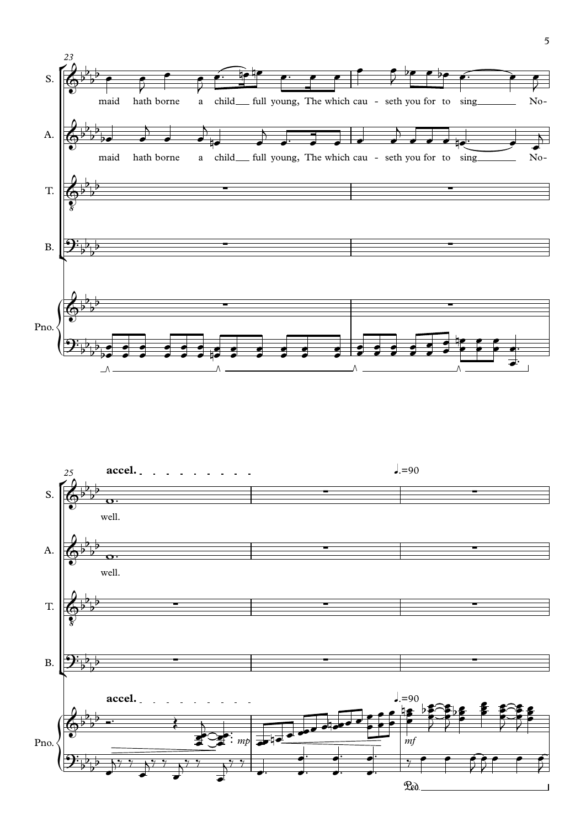

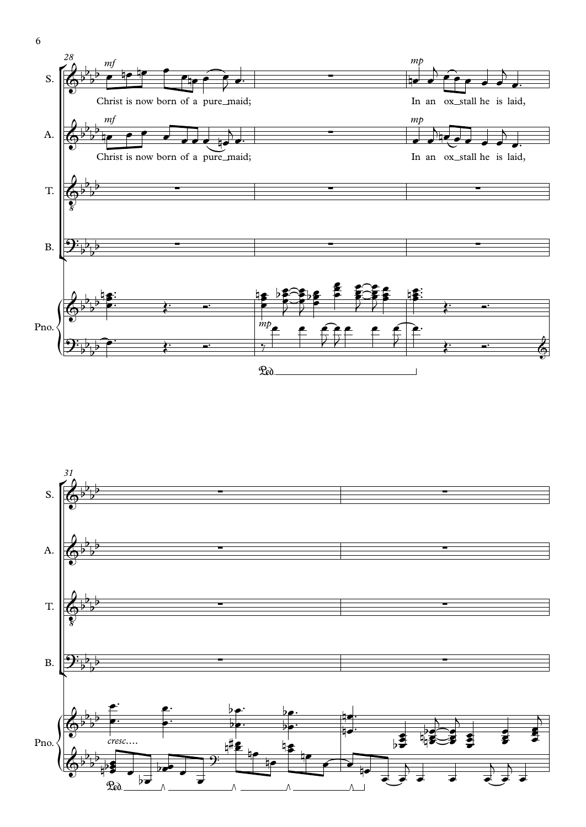



6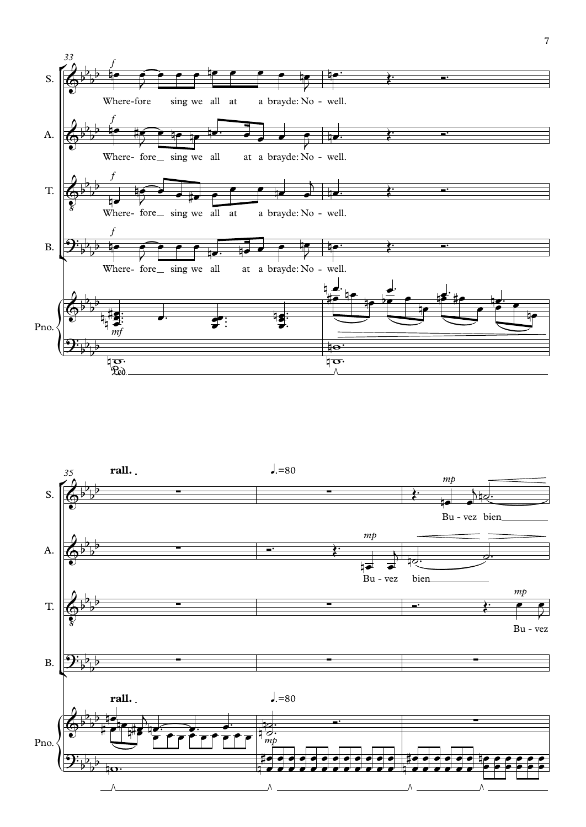

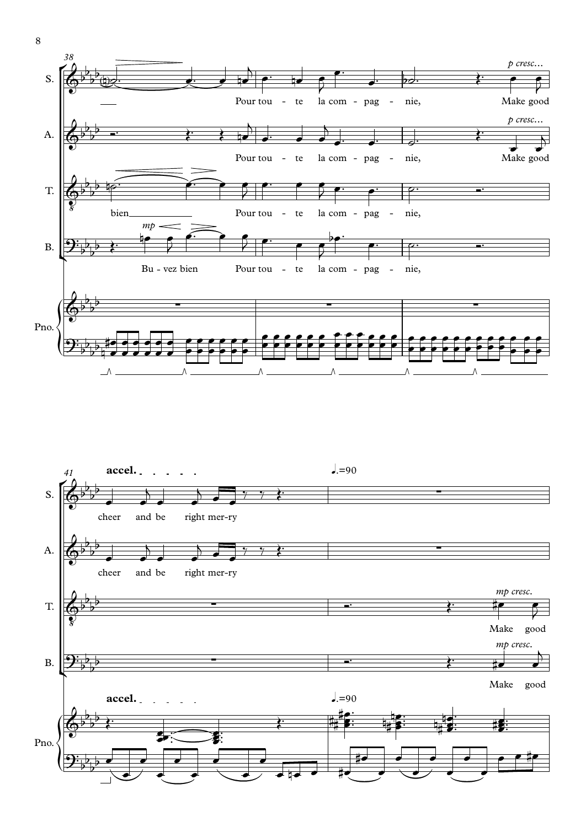



8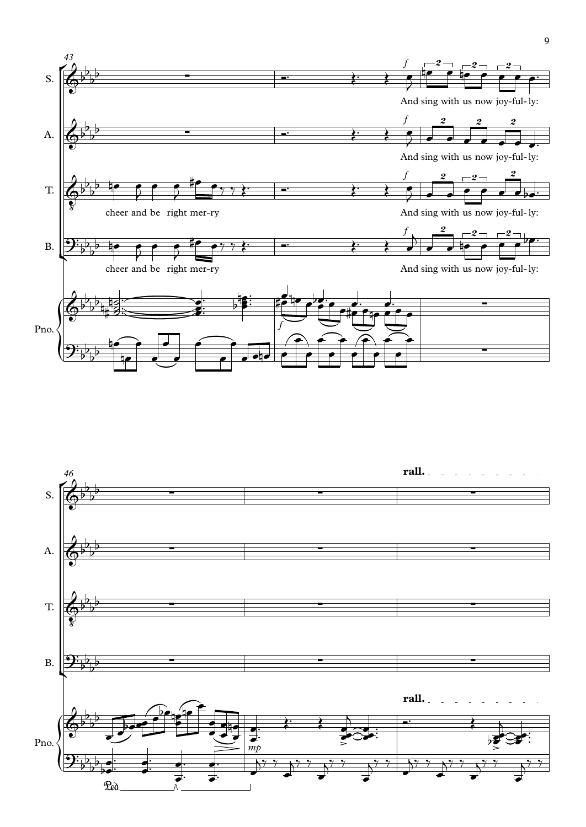